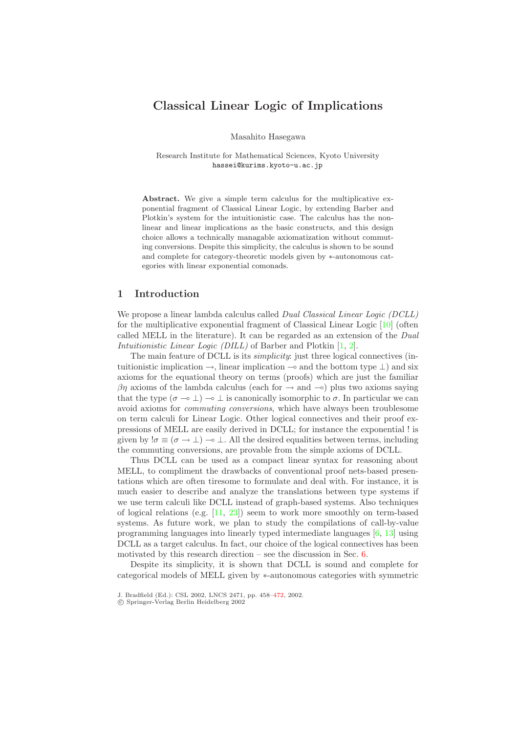# <span id="page-0-1"></span><span id="page-0-0"></span>**Classical Linear Logic of Implications**

Masahito Hasegawa

Research Institute for Mathematical Sciences, Kyoto University hassei@kurims.kyoto-u.ac.jp

**Abstract.** We give a simple term calculus for the multiplicative exponential fragment of Classical Linear Logic, by extending Barber and Plotkin's system for the intuitionistic case. The calculus has the nonlinear and linear implications as the basic constructs, and this design choice allows a technically managable axiomatization without commuting conversions. Despite this simplicity, the calculus is shown to be sound and complete for category-theoretic models given by ∗-autonomous categories with linear exponential comonads.

## **1 Introduction**

We propose a linear lambda calculus called *Dual Classical Linear Logic (DCLL)* for the multiplicative exponential fragment of Classical Linear Logic [\[10\]](#page-10-0) (often called MELL in the literature). It can be regarded as an extension of the *Dual Intuitionistic Linear Logic (DILL)* of Barber and Plotkin [\[1,](#page-10-1) [2\]](#page-10-2).

The main feature of DCLL is its *simplicity*: just three logical connectives (intuitionistic implication  $\rightarrow$ , linear implication  $\rightarrow$  and the bottom type  $\perp$ ) and six axioms for the equational theory on terms (proofs) which are just the familiar  $βη$  axioms of the lambda calculus (each for  $\rightarrow$  and  $\rightarrow$ ) plus two axioms saying that the type  $(\sigma \to \bot) \to \bot$  is canonically isomorphic to  $\sigma$ . In particular we can avoid axioms for *commuting conversions*, which have always been troublesome on term calculi for Linear Logic. Other logical connectives and their proof expressions of MELL are easily derived in DCLL; for instance the exponential ! is given by  $\sigma \equiv (\sigma \to \bot) \to \bot$ . All the desired equalities between terms, including the commuting conversions, are provable from the simple axioms of DCLL.

Thus DCLL can be used as a compact linear syntax for reasoning about MELL, to compliment the drawbacks of conventional proof nets-based presentations which are often tiresome to formulate and deal with. For instance, it is much easier to describe and analyze the translations between type systems if we use term calculi like DCLL instead of graph-based systems. Also techniques of logical relations (e.g. [\[11,](#page-10-3) [23\]](#page-11-0)) seem to work more smoothly on term-based systems. As future work, we plan to study the compilations of call-by-value programming languages into linearly typed intermediate languages [\[6,](#page-10-4) [13\]](#page-10-5) using DCLL as a target calculus. In fact, our choice of the logical connectives has been motivated by this research direction – see the discussion in Sec. [6.](#page-8-0)

Despite its simplicity, it is shown that DCLL is sound and complete for categorical models of MELL given by ∗-autonomous categories with symmetric

J. Bradfield (Ed.): CSL 2002, LNCS 2471, pp. 458[–472,](#page-14-0) 2002.

c Springer-Verlag Berlin Heidelberg 2002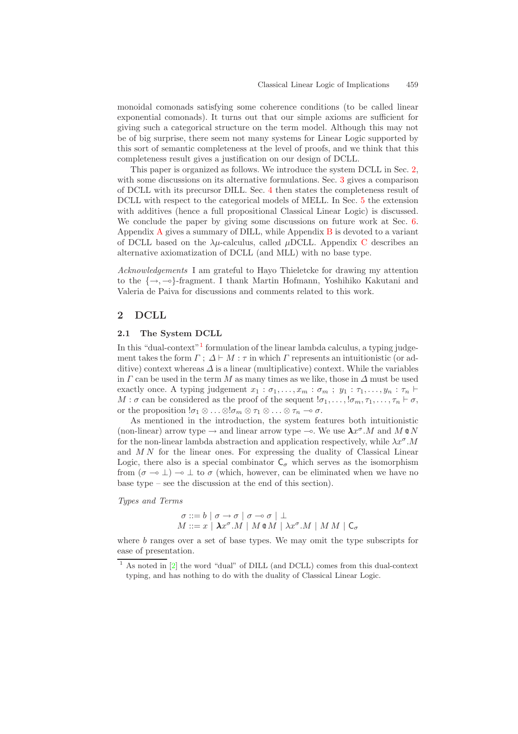<span id="page-1-2"></span>monoidal comonads satisfying some coherence conditions (to be called linear exponential comonads). It turns out that our simple axioms are sufficient for giving such a categorical structure on the term model. Although this may not be of big surprise, there seem not many systems for Linear Logic supported by this sort of semantic completeness at the level of proofs, and we think that this completeness result gives a justification on our design of DCLL.

This paper is organized as follows. We introduce the system DCLL in Sec. [2,](#page-1-0) with some discussions on its alternative formulations. Sec. [3](#page-4-0) gives a comparison of DCLL with its precursor DILL. Sec. [4](#page-6-0) then states the completeness result of DCLL with respect to the categorical models of MELL. In Sec. [5](#page-7-0) the extension with additives (hence a full propositional Classical Linear Logic) is discussed. We conclude the paper by giving some discussions on future work at Sec. [6.](#page-8-1) [A](#page-11-1)ppendix  $\overline{A}$  gives a summary of DILL, while Appendix  $\overline{B}$  $\overline{B}$  $\overline{B}$  is devoted to a variant of D[C](#page-14-1)LL based on the  $\lambda \mu$ -calculus, called  $\mu$ DCLL. Appendix C describes an alternative axiomatization of DCLL (and MLL) with no base type.

<span id="page-1-3"></span><span id="page-1-0"></span>*Acknowledgements* I am grateful to Hayo Thieletcke for drawing my attention to the  $\{\rightarrow, -\infty\}$ -fragment. I thank Martin Hofmann, Yoshihiko Kakutani and Valeria de Paiva for discussions and comments related to this work.

## **2 DCLL**

#### **2.1 The System DCLL**

In this "dual-context"<sup>[1](#page-1-1)</sup> formulation of the linear lambda calculus, a typing judgement takes the form  $\Gamma$ ;  $\Delta \vdash M$ :  $\tau$  in which  $\Gamma$  represents an intuitionistic (or additive) context whereas  $\Delta$  is a linear (multiplicative) context. While the variables in  $\Gamma$  can be used in the term M as many times as we like, those in  $\Delta$  must be used exactly once. A typing judgement  $x_1 : \sigma_1, \ldots, x_m : \sigma_m$ ;  $y_1 : \tau_1, \ldots, y_n : \tau_n$  $M : \sigma$  can be considered as the proof of the sequent  $\sigma_1, \ldots, \sigma_m, \tau_1, \ldots, \tau_n \vdash \sigma$ , or the proposition  $!\sigma_1 \otimes \ldots \otimes \sigma_m \otimes \tau_1 \otimes \ldots \otimes \tau_n \to \sigma$ .

<span id="page-1-1"></span>As mentioned in the introduction, the system features both intuitionistic (non-linear) arrow type  $\rightarrow$  and linear arrow type  $\rightarrow$ . We use  $\lambda x^{\sigma}$ . M and M  $\otimes N$ for the non-linear lambda abstraction and application respectively, while  $\lambda x^{\sigma}$ .M and M N for the linear ones. For expressing the duality of Classical Linear Logic, there also is a special combinator  $C_{\sigma}$  which serves as the isomorphism from  $(\sigma \rightarrow \bot) \rightarrow \bot$  to  $\sigma$  (which, however, can be eliminated when we have no base type – see the discussion at the end of this section).

*Types and Terms*

$$
\sigma ::= b | \sigma \rightarrow \sigma | \sigma \rightarrow \sigma | \perp
$$
  

$$
M ::= x | \lambda x^{\sigma}.M | M \otimes M | \lambda x^{\sigma}.M | M M | C_{\sigma}
$$

where b ranges over a set of base types. We may omit the type subscripts for ease of presentation.

 $1$  As noted in  $[2]$  the word "dual" of DILL (and DCLL) comes from this dual-context typing, and has nothing to do with the duality of Classical Linear Logic.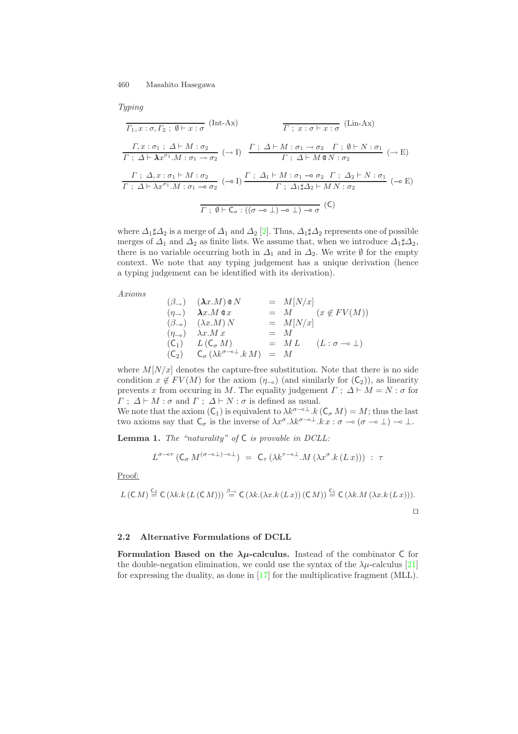<span id="page-2-2"></span><span id="page-2-1"></span>*Typing*

$$
\overline{\Gamma_1, x : \sigma, \Gamma_2; \emptyset \vdash x : \sigma} \quad (\text{Int-Ax}) \qquad \overline{\Gamma_2; x : \sigma \vdash x : \sigma} \quad (\text{Lin-Ax})
$$
\n
$$
\frac{\Gamma, x : \sigma_1; \Delta \vdash M : \sigma_2}{\Gamma_2; \Delta \vdash \lambda x^{\sigma_1} M : \sigma_1 \to \sigma_2} \quad (\to 1) \qquad \frac{\Gamma_2; \Delta \vdash M : \sigma_1 \to \sigma_2 \quad \Gamma_2; \emptyset \vdash N : \sigma_1}{\Gamma_2; \Delta \vdash M \otimes N : \sigma_2} \quad (\to E)
$$
\n
$$
\frac{\Gamma_2; \Delta_2; \sigma_1 \vdash M : \sigma_2}{\Gamma_2; \Delta \vdash \lambda x^{\sigma_1} M : \sigma_1 \to \sigma_2} \quad (\to 1) \frac{\Gamma_2; \Delta_1 \vdash M : \sigma_1 \to \sigma_2 \quad \Gamma_2; \Delta_2 \vdash N : \sigma_1}{\Gamma_2; \Delta_1 \sharp \Delta_2 \vdash M N : \sigma_2} \quad (\to E)
$$
\n
$$
\overline{\Gamma_2; \emptyset \vdash C_{\sigma} : ((\sigma \to \bot) \to \bot) \to \sigma} \quad (\mathsf{C})
$$

where  $\Delta_1 \sharp \Delta_2$  is a merge of  $\Delta_1$  and  $\Delta_2$  [\[2\]](#page-10-2). Thus,  $\Delta_1 \sharp \Delta_2$  represents one of possible merges of  $\Delta_1$  and  $\Delta_2$  as finite lists. We assume that, when we introduce  $\Delta_1 \sharp \Delta_2$ , there is no variable occurring both in  $\Delta_1$  and in  $\Delta_2$ . We write  $\emptyset$  for the empty context. We note that any typing judgement has a unique derivation (hence a typing judgement can be identified with its derivation).

*Axioms*

$$
\begin{array}{rcl}\n(\beta_{\rightarrow}) & (\lambda x.M) \otimes N & = & M[N/x] \\
(\eta_{\rightarrow}) & \lambda x.M \otimes x & = & M \\
(\beta_{\rightarrow}) & (\lambda x.M) N & = & M[N/x] \\
(\eta_{\rightarrow}) & \lambda x.M x & = & M \\
(\mathsf{C}_1) & L(\mathsf{C}_{\sigma} M) & = & M L \\
(\mathsf{C}_2) & \mathsf{C}_{\sigma} (\lambda k^{\sigma - \circ \perp}.k M) & = & M\n\end{array}
$$

where  $M[N/x]$  denotes the capture-free substitution. Note that there is no side condition  $x \notin FV(M)$  for the axiom  $(\eta_{-\infty})$  (and similarly for  $(\mathcal{C}_2)$ ), as linearity prevents x from occuring in M. The equality judgement  $\Gamma$ ;  $\Delta \vdash M = N : \sigma$  for  $\Gamma$ ;  $\Delta \vdash M : \sigma$  and  $\Gamma$ ;  $\Delta \vdash N : \sigma$  is defined as usual.

We note that the axiom  $(C_1)$  is equivalent to  $\lambda k^{\sigma-\alpha}$ .  $k(C_{\sigma} M) = M$ ; thus the last two axioms say that  $C_{\sigma}$  is the inverse of  $\lambda x^{\sigma} \cdot \lambda k^{\sigma-\sigma} \pm k x : \sigma \multimap (\sigma \multimap \bot) \multimap \bot$ .

**Lemma 1.** *The "naturality" of* C *is provable in DCLL:*

<span id="page-2-0"></span>
$$
L^{\sigma-\circ\tau}\left(\mathsf{C}_{\sigma} M^{(\sigma-\circ\perp)-\circ\perp}\right) \;=\; \mathsf{C}_{\tau}\left(\lambda k^{\tau-\circ\perp}.M\left(\lambda x^{\sigma}.k\left(L\,x\right)\right)\right) \;:\; \tau
$$

Proof:

$$
L(C M) \stackrel{\mathsf{C}_2}{=} \mathsf{C} \left( \lambda k. k \left( L(C M) \right) \right) \stackrel{\beta = \alpha}{=} \mathsf{C} \left( \lambda k. (\lambda x. k \left( L x \right) \right) \left( \mathsf{C} M \right) \right) \stackrel{\mathsf{C}_1}{=} \mathsf{C} \left( \lambda k. M \left( \lambda x. k \left( L x \right) \right) \right).
$$

#### **2.2 Alternative Formulations of DCLL**

**Formulation Based on the**  $\lambda \mu$ **-calculus.** Instead of the combinator C for the double-negation elimination, we could use the syntax of the  $\lambda \mu$ -calculus [\[21\]](#page-11-2) for expressing the duality, as done in [\[17\]](#page-11-3) for the multiplicative fragment (MLL).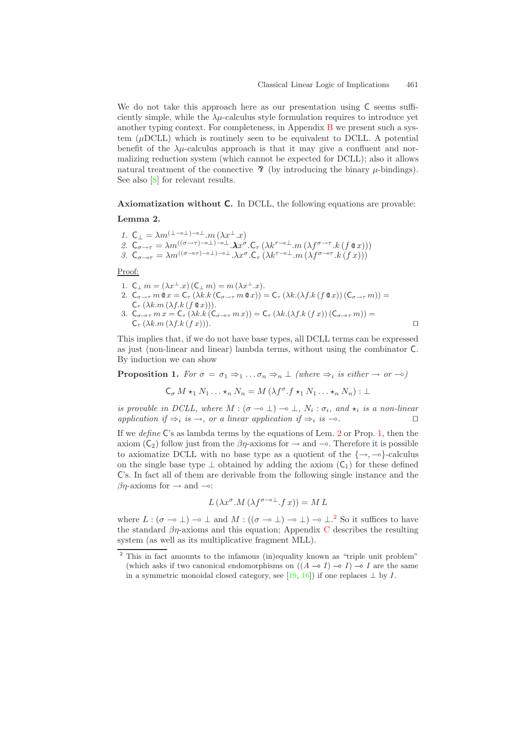<span id="page-3-4"></span><span id="page-3-3"></span>We do not take this approach here as our presentation using  $\mathsf C$  seems sufficiently simple, while the  $\lambda \mu$ -calculus style formulation requires to introduce yet another typing context. For completeness, in Appendix [B](#page-12-0) we present such a system  $(\mu$ DCLL) which is routinely seen to be equivalent to DCLL. A potential benefit of the  $\lambda \mu$ -calculus approach is that it may give a confluent and normalizing reduction system (which cannot be expected for DCLL); also it allows natural treatment of the connective  $\mathcal{R}$  (by introducing the binary  $\mu$ -bindings). See also [\[8\]](#page-10-7) for relevant results.

<span id="page-3-0"></span>**Axiomatization without C.** In DCLL, the following equations are provable: **Lemma 2.**

$$
\begin{array}{l} 1. \ \mathsf{C}_\bot = \lambda m^{{(\bot \multimap \bot)} - \circ \bot}.m\left(\lambda x^\bot.x\right) \\ 2. \ \mathsf{C}_{\sigma \to \tau} = \lambda m^{{((\sigma \to \tau)} - \circ \bot)} \multimap \bot}.\pmb{\lambda} x^\sigma.\mathsf{C}_\tau\left(\lambda k^{\tau - \circ \bot}.m\left(\lambda f^{\sigma \to \tau}.k\left(f \circ x\right)\right)\right) \\ 3. \ \mathsf{C}_{\sigma \to \tau} = \lambda m^{{((\sigma \to \tau)} - \circ \bot)} \multimap \bot.\lambda x^\sigma.\mathsf{C}_\tau\left(\lambda k^{\tau - \circ \bot}.m\left(\lambda f^{\sigma \to \tau}.k\left(f \, x\right)\right)\right) \end{array}
$$

Proof:

- 1.  $C_{\perp} m = (\lambda x^{\perp}.x) (C_{\perp} m) = m (\lambda x^{\perp}.x)$ .
- 2.  $C_{\sigma \to \tau} m \mathbf{e} x = C_{\tau} (\lambda k.k (C_{\sigma \to \tau} m \mathbf{e} x)) = C_{\tau} (\lambda k.(\lambda f.k (f \mathbf{e} x)) (C_{\sigma \to \tau} m)) =$
- $C_{\tau}(\lambda k.m(\lambda f.k(f\otimes x))).$ 3.  $C_{\sigma-\sigma\tau}$  m  $x = C_{\tau} (\lambda k.k (C_{\sigma-\sigma\tau}$  m  $x)) = C_{\tau} (\lambda k.(\lambda f.k (f x)) (C_{\sigma-\sigma\tau}$  m)) =  $C_{\tau} (\lambda k.m(\lambda f.k(fx))).$

<span id="page-3-1"></span>This implies that, if we do not have base types, all DCLL terms can be expressed as just (non-linear and linear) lambda terms, without using the combinator C. By induction we can show

<span id="page-3-2"></span>**Proposition 1.** *For*  $\sigma = \sigma_1 \Rightarrow_1 \ldots \sigma_n \Rightarrow_n \perp$  *(where*  $\Rightarrow_i$  *is either*  $\rightarrow$  *or*  $\rightarrow$ *o*)

$$
C_{\sigma} M \star_1 N_1 \ldots \star_n N_n = M \left( \lambda f^{\sigma} . f \star_1 N_1 \ldots \star_n N_n \right) : \bot
$$

*is provable in DCLL, where*  $M : (\sigma \to \bot) \to \bot$ ,  $N_i : \sigma_i$ , and  $\star_i$  *is a non-linear application if*  $\Rightarrow$ *i is*  $\rightarrow$ *, or a linear application if*  $\Rightarrow$ *i is*  $\rightarrow$ *c*.

If we *define* C's as lambda terms by the equations of Lem. [2](#page-3-0) or Prop. [1,](#page-3-1) then the axiom  $(C_2)$  follow just from the  $\beta\eta$ -axioms for  $\rightarrow$  and  $\rightarrow$ . Therefore it is possible to axiomatize DCLL with no base type as a quotient of the  $\{\rightarrow, \neg \circ\}$ -calculus on the single base type  $\perp$  obtained by adding the axiom  $(C_1)$  for these defined C's. In fact all of them are derivable from the following single instance and the  $\beta\eta$ -axioms for  $\rightarrow$  and  $\rightarrow$ :

$$
L(\lambda x^{\sigma}.M(\lambda f^{\sigma-\circ\perp}.fx)) = ML
$$

where  $L : (\sigma \to \bot) \to \bot$  and  $M : ((\sigma \to \bot) \to \bot) \to \bot$ .<sup>[2](#page-3-2)</sup> So it suffices to have the standard  $\beta\eta$ -axioms and this equation; Appendix [C](#page-14-1) describes the resulting system (as well as its multiplicative fragment MLL).

<sup>&</sup>lt;sup>2</sup> This in fact amounts to the infamous (in)equality known as "triple unit problem" (which asks if two canonical endomorphisms on  $((A \rightarrow I) \rightarrow I) \rightarrow I$  are the same in a symmetric monoidal closed category, see [\[19,](#page-11-4) [16\]](#page-11-5)) if one replaces  $\perp$  by *I*.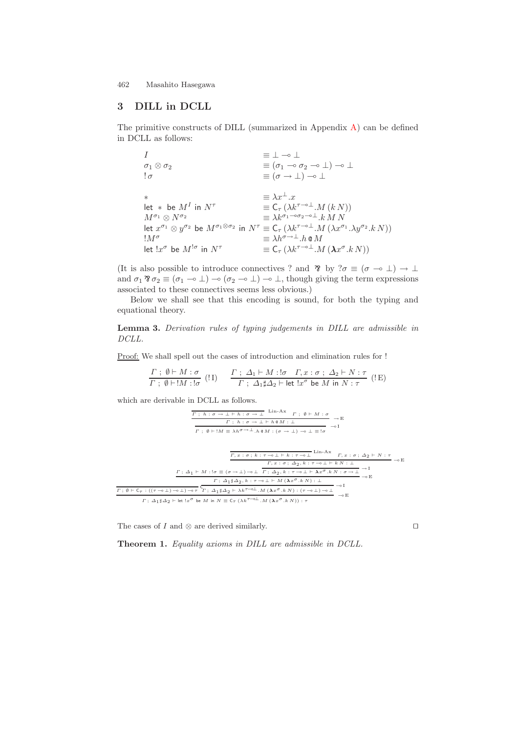## <span id="page-4-0"></span>**3 DILL in DCLL**

The primitive constructs of DILL (summarized in Appendix [A\)](#page-11-6) can be defined in DCLL as follows:

I  $\equiv \bot \rightarrow \bot$  $\sigma_1 \otimes \sigma_2$   $\equiv (\sigma_1 \multimap \sigma_2 \multimap \bot) \multimap \bot$  $\sigma = (\sigma \to \bot) \to \bot$ \*  $\equiv \lambda x^{\perp}.x$ let \* be  $M^I$  in  $N^{\tau}$   $\equiv \mathsf{C}_{\tau} (\lambda k^{\tau-\circ\perp}.M(k\,N))$  $\begin{array}{lll} \mbox{let } * & \mbox{be } M^I \mbox{ in } N^\tau & \equiv \mathsf{C}_\tau \left( \lambda k^{\tau - \circ \perp}. M \left( k \, N \right) \right) \\ M^{\sigma_1} \otimes N^{\sigma_2} & \equiv \lambda k^{\sigma_1 - \circ \sigma_2 - \circ \perp}.k \, M \, N \end{array}$ let  $x^{\sigma_1} \otimes y^{\sigma_2}$  be  $M^{\sigma_1 \otimes \sigma_2}$  in  $N^{\tau} \equiv C_{\tau} (\lambda k^{\tau-\sigma \perp} M (\lambda x^{\sigma_1} \cdot \lambda y^{\sigma_2} \cdot k N))$ <br> $M^{\sigma} \equiv \lambda h^{\sigma \to \perp} h \otimes M$  $\equiv \lambda h^{\sigma \to \perp}.h \otimes M$ <br>  $\equiv \mathsf{C}_{\tau}(\lambda k^{\tau \to \perp}.M(\lambda x^{\sigma}.k N))$ let  $!x^{\sigma}$  be  $M^{!\sigma}$  in  $N^{\tau}$ 

(It is also possible to introduce connectives ? and  $\mathcal{B}$  by  $? \sigma \equiv (\sigma \multimap \bot) \rightarrow \bot$ and  $\sigma_1 \mathcal{R} \sigma_2 \equiv (\sigma_1 \multimap \bot) \multimap (\sigma_2 \multimap \bot) \multimap \bot$ , though giving the term expressions associated to these connectives seems less obvious.)

Below we shall see that this encoding is sound, for both the typing and equational theory.

**Lemma 3.** *Derivation rules of typing judgements in DILL are admissible in DCLL.*

Proof: We shall spell out the cases of introduction and elimination rules for !

$$
\frac{\Gamma \; ; \; \emptyset \vdash M : \sigma}{\Gamma \; ; \; \emptyset \vdash !M : !\sigma} \; (\text{!I}) \quad \frac{\Gamma \; ; \; \Delta_1 \vdash M : !\sigma \quad \Gamma, x : \sigma \; ; \; \Delta_2 \vdash N : \tau}{\Gamma \; ; \; \Delta_1 \sharp \Delta_2 \vdash \text{let } !x^{\sigma} \text{ be } M \text{ in } N : \tau} \; (\text{! E})
$$

which are derivable in DCLL as follows.

$$
\frac{\Gamma \; ; \; h: \sigma \to \bot \vdash h: \sigma \to \bot \quad \text{Lin-Ax} \quad \Gamma \; ; \; \emptyset \vdash M : \sigma}{\Gamma \; ; \; h: \sigma \to \bot \vdash h \bullet M : \bot} \to \text{E}
$$
\n
$$
\frac{\Gamma \; ; \; h: \sigma \to \bot \vdash h \bullet M : \bot}{\Gamma \; ; \; \emptyset \vdash !M \equiv \lambda h^{\sigma \to \bot}.h \bullet M : (\sigma \to \bot) \to \bot \equiv !\sigma} \to \text{I}
$$
\n
$$
\frac{\Gamma, x: \sigma \; ; \; k: \tau \to \bot \vdash k : \tau \to \bot \quad \text{Lin-Ax} \quad \Gamma, x: \sigma \; ; \; \Delta_2 \vdash N : \tau}{\Gamma, x: \sigma \; ; \; \Delta_2, k: \tau \to \bot \vdash k : \tau \to \bot \quad \text{An} \quad \text{I}} \to \text{E}
$$
\n
$$
\frac{\Gamma \; ; \; \Delta_1 \vdash M : !\sigma \equiv (\sigma \to \bot) \to \bot \quad \Gamma \; ; \; \Delta_2, k: \tau \to \bot \vdash A x^{\sigma}.k \quad \text{I}}{\Gamma \; ; \; \Delta_1 \sharp \Delta_2, k: \tau \to \bot \vdash M (\lambda x^{\sigma}.k \quad \text{I}) : \bot} \to \text{E}
$$
\n
$$
\frac{\Gamma \; ; \; \Delta_1 \sharp \Delta_2 \vdash \text{I}}{\Gamma \; ; \; \Delta_1 \sharp \Delta_2 \vdash \text{I}} \to \text{E}
$$
\n
$$
\frac{\Gamma \; ; \; \Delta_1 \sharp \Delta_2 \vdash \text{I}}{\Gamma \; ; \; \Delta_1 \sharp \Delta_2 \vdash \text{I}} \to \text{E}
$$

<span id="page-4-2"></span><span id="page-4-1"></span>The cases of  $I$  and  $\otimes$  are derived similarly.  $\Box$ 

**Theorem 1.** *Equality axioms in DILL are admissible in DCLL.*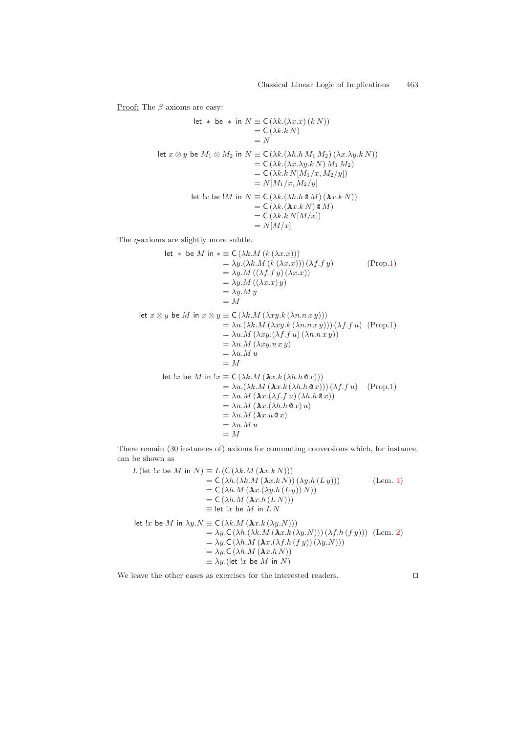Proof: The  $\beta$ -axioms are easy:

let ∗ be ∗ in N ≡ C (λk.(λx.x) (k N)) = C (λk.k N) = N let x ⊗ y be M<sup>1</sup> ⊗ M<sup>2</sup> in N ≡ C (λk.(λh.h M<sup>1</sup> M2) (λx.λy.k N)) = C (λk.(λx.λy.k N) M<sup>1</sup> M2) = C (λk.k N[M1/x, M2/y]) = N[M1/x, M2/y] let !x be !M in N ≡ C (λk.(λh.h @ M) (λλx.k N)) = C (λk.(λλx.k N) @ M) = C (λk.k N[M/x]) = N[M/x]

The  $\eta\text{-axioms}$  are slightly more subtle.

let \* be M in \* 
$$
\equiv C(\lambda k.M (k (\lambda x.x)))
$$
  
\t\t\t\t $= \lambda y.(\lambda k.M (k (\lambda x.x)))(\lambda f.f y)$  (Prop.1)  
\t\t\t\t $= \lambda y.M ((\lambda f.f y) (\lambda x.x))$   
\t\t\t\t $= \lambda y.M ((\lambda x.x) y)$   
\t\t\t\t $= \lambda y.M y$   
\t\t\t\t $= M$   
let  $x \otimes y$  be M in  $x \otimes y \equiv C(\lambda k.M (\lambda xy.k (\lambda n.n x y)))$   
\t\t\t\t $= \lambda u. (\lambda k.M (\lambda xy.k (\lambda n.n x y))) (\lambda f.f u)$  (Prop.1)  
\t\t\t\t $= \lambda u.M (\lambda xy. (\lambda f.f u) (\lambda n.n x y))$   
\t\t\t\t $= \lambda u.M (\lambda xy. u x y)$   
\t\t\t\t $= \lambda u.M u$   
\t\t\t\t $= M$   
let  $\exists x$  be M in  $\exists x \equiv C(\lambda k.M (\lambda x.k (\lambda h.h @ x)))$   
\t\t\t\t $= \lambda u. (\lambda k.M (\lambda x.k (\lambda h.h @ x))) (\lambda f.f u)$  (Prop.1)  
\t\t\t\t $= \lambda u.M (\lambda x. (\lambda f.f u) (\lambda h.h @ x))$   
\t\t\t\t $= \lambda u.M (\lambda x. (\lambda f.f u) (\lambda h.h @ x))$   
\t\t\t\t $= \lambda u.M (\lambda x. (\lambda h.h @ x) u)$   
\t\t\t\t $= \lambda u.M u$   
\t\t\t\t $= M$ 

There remain (30 instances of) axioms for commuting conversions which, for instance, can be shown as

$$
L\left(\text{let } !x \text{ be } M \text{ in } N\right) \equiv L\left(\text{C}\left(\lambda k.M\left(\pmb{\lambda} x.k \, N\right)\right)\right) \\
= \text{C}\left(\lambda h.(\lambda k.M\left(\pmb{\lambda} x.k \, N\right)\right)\left(\lambda y.h\left(L y\right)\right)\right) \\
= \text{C}\left(\lambda h.M\left(\pmb{\lambda} x.\left(\lambda y.h\left(L y\right)\right) N\right)\right) \\
= \text{C}\left(\lambda h.M\left(\pmb{\lambda} x.h\left(L N\right)\right)\right) \\
= \text{let } !x \text{ be } M \text{ in } L N
$$
\n
$$
\text{let } !x \text{ be } M \text{ in } \lambda y.N \equiv \text{C}\left(\lambda k.M\left(\pmb{\lambda} x.k\left(\lambda y.N\right)\right)\right) \\
= \lambda y.C\left(\lambda h.(\lambda k.M\left(\pmb{\lambda} x.k\left(\lambda y.N\right)\right)\right)\left(\lambda f.h\left(f y\right)\right)\right) \text{ (Lem. 2)} \\
= \lambda y.C\left(\lambda h.M\left(\pmb{\lambda} x.\left(\lambda f.h\left(f y\right)\right)\left(\lambda y.N\right)\right)\right) \\
= \lambda y.C\left(\lambda h.M\left(\pmb{\lambda} x.h N\right)\right) \\
= \lambda y. \text{ (let } !x \text{ be } M \text{ in } N)
$$

We leave the other cases as exercises for the interested readers.  $\hfill \Box$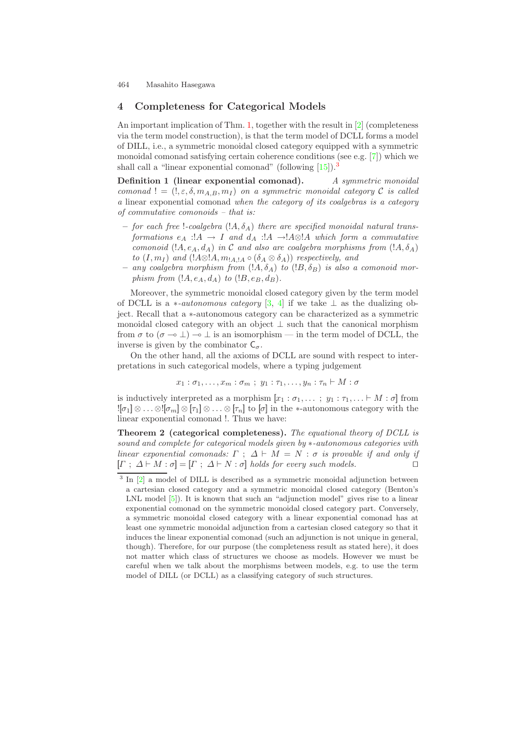# <span id="page-6-3"></span><span id="page-6-2"></span><span id="page-6-0"></span>**4 Completeness for Categorical Models**

An important implication of Thm. [1,](#page-4-1) together with the result in [\[2\]](#page-10-2) (completeness via the term model construction), is that the term model of DCLL forms a model of DILL, i.e., a symmetric monoidal closed category equipped with a symmetric monoidal comonad satisfying certain coherence conditions (see e.g. [\[7\]](#page-10-8)) which we shall call a "linear exponential comonad" (following  $[15]$ ).<sup>[3](#page-6-1)</sup>

**Definition 1 (linear exponential comonad).** *A symmetric monoidal comonad*  $!= (!, \varepsilon, \delta, m_{A,B}, m_I)$  *on a symmetric monoidal category*  $\mathcal C$  *is called a* linear exponential comonad *when the category of its coalgebras is a category of commutative comonoids – that is:*

- $-$  for each free !-coalgebra (! $A, \delta_A$ ) there are specified monoidal natural trans*formations*  $e_A$  :  $A \rightarrow I$  *and*  $d_A$  :  $A \rightarrow A \otimes A$  *which form a commutative comonoid*  $(lA, e_A, d_A)$  *in* C *and also are coalgebra morphisms from*  $(lA, \delta_A)$ *to*  $(I, m_I)$  *and*  $(!A \otimes !A, m_{A, A} \circ (\delta_A \otimes \delta_A))$  *respectively, and*
- $-$  *any coalgebra morphism from*  $(1A, \delta_A)$  *to*  $(1B, \delta_B)$  *is also a comonoid morphism from*  $(lA, e_A, d_A)$  *to*  $(lB, e_B, d_B)$ *.*

<span id="page-6-1"></span>Moreover, the symmetric monoidal closed category given by the term model of DCLL is a *\*-autonomous category* [\[3,](#page-10-9) [4\]](#page-10-10) if we take  $\perp$  as the dualizing object. Recall that a ∗-autonomous category can be characterized as a symmetric monoidal closed category with an object  $\perp$  such that the canonical morphism from  $\sigma$  to  $(\sigma \rightarrow \bot) \rightarrow \bot$  is an isomorphism — in the term model of DCLL, the inverse is given by the combinator  $C_{\sigma}$ .

On the other hand, all the axioms of DCLL are sound with respect to interpretations in such categorical models, where a typing judgement

$$
x_1 : \sigma_1, \ldots, x_m : \sigma_m ; y_1 : \tau_1, \ldots, y_n : \tau_n \vdash M : \sigma
$$

is inductively interpreted as a morphism  $[x_1 : \sigma_1, \ldots ; y_1 : \tau_1, \ldots \vdash M : \sigma]$  from  $:[\sigma_1] \otimes \ldots \otimes [\sigma_m] \otimes [\tau_1] \otimes \ldots \otimes [\tau_n]$  to  $[\sigma]$  in the \*-autonomous category with the linear exponential comonad !. Thus we have:

**Theorem 2 (categorical completeness).** *The equational theory of DCLL is sound and complete for categorical models given by* ∗*-autonomous categories with linear exponential comonads:*  $\Gamma$ ;  $\Delta \vdash M = N$ :  $\sigma$  *is provable if and only if*  $[\Gamma; \Delta \vdash M : \sigma] = [\Gamma; \Delta \vdash N : \sigma]$  *holds for every such models.* 

<sup>&</sup>lt;sup>3</sup> In [\[2\]](#page-10-2) a model of DILL is described as a symmetric monoidal adjunction between a cartesian closed category and a symmetric monoidal closed category (Benton's LNL model [\[5\]](#page-10-11)). It is known that such an "adjunction model" gives rise to a linear exponential comonad on the symmetric monoidal closed category part. Conversely, a symmetric monoidal closed category with a linear exponential comonad has at least one symmetric monoidal adjunction from a cartesian closed category so that it induces the linear exponential comonad (such an adjunction is not unique in general, though). Therefore, for our purpose (the completeness result as stated here), it does not matter which class of structures we choose as models. However we must be careful when we talk about the morphisms between models, e.g. to use the term model of DILL (or DCLL) as a classifying category of such structures.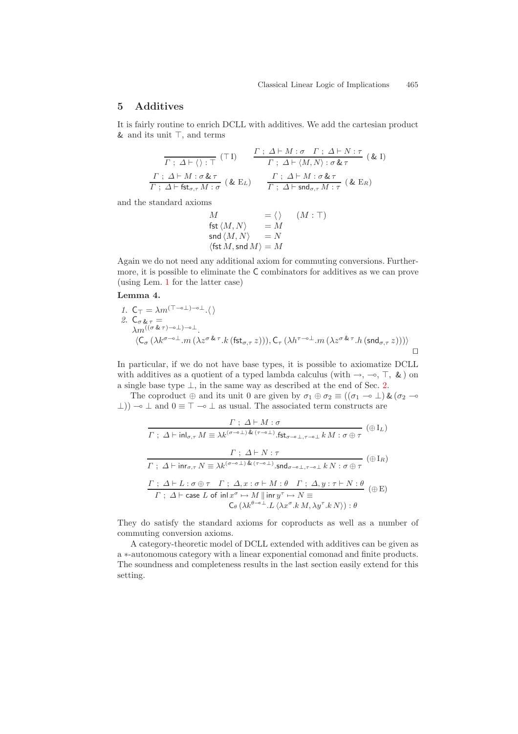## <span id="page-7-0"></span>**5 Additives**

It is fairly routine to enrich DCLL with additives. We add the cartesian product  $&$  and its unit  $\top$ , and terms

$$
\frac{\Gamma : \Delta \vdash M : \sigma \quad \Gamma : \Delta \vdash N : \tau}{\Gamma : \Delta \vdash M : \sigma \& \tau} \quad (\&\mathbf{I})
$$
\n
$$
\frac{\Gamma : \Delta \vdash M : \sigma \& \tau}{\Gamma : \Delta \vdash \langle M, N \rangle : \sigma \& \tau} \quad (\&\mathbf{I})
$$
\n
$$
\frac{\Gamma : \Delta \vdash M : \sigma \& \tau}{\Gamma : \Delta \vdash \mathsf{fst}_{\sigma,\tau} M : \sigma} \quad (\&\mathbf{E}_L) \qquad \frac{\Gamma : \Delta \vdash M : \sigma \& \tau}{\Gamma : \Delta \vdash \mathsf{snd}_{\sigma,\tau} M : \tau} \quad (\&\mathbf{E}_R)
$$

and the standard axioms

$$
M = \langle \rangle \quad (M : \top)
$$
  
fst  $\langle M, N \rangle = M$   
snd  $\langle M, N \rangle = N$   
 $\langle \text{fst } M, \text{snd } M \rangle = M$ 

Again we do not need any additional axiom for commuting conversions. Furthermore, it is possible to eliminate the C combinators for additives as we can prove (using Lem. [1](#page-2-0) for the latter case)

#### **Lemma 4.**

1. 
$$
C_{\tau} = \lambda m^{(\tau - \delta \perp) - \delta \perp}. \langle \rangle
$$
  
\n2. 
$$
C_{\sigma \& \tau} = \lambda m^{((\sigma \& \tau) - \delta \perp)}.
$$
  
\n
$$
\langle C_{\sigma} (\lambda k^{\sigma - \delta \perp}. m (\lambda z^{\sigma \& \tau}. k (\text{fst}_{\sigma, \tau} z))), C_{\tau} (\lambda h^{\tau - \delta \perp}. m (\lambda z^{\sigma \& \tau}. h (\text{snd}_{\sigma, \tau} z)))) \square
$$

In particular, if we do not have base types, it is possible to axiomatize DCLL with additives as a quotient of a typed lambda calculus (with  $\rightarrow$ ,  $\rightarrow$ ,  $\top$ , & ) on a single base type ⊥, in the same way as described at the end of Sec. [2.](#page-1-0)

The coproduct  $\oplus$  and its unit 0 are given by  $\sigma_1 \oplus \sigma_2 \equiv ((\sigma_1 \multimap \bot) \& (\sigma_2 \multimap$  $\perp$ ))  $\sim$  ⊥ and 0  $\equiv$   $\top$   $\sim$  ⊥ as usual. The associated term constructs are

$$
\frac{\Gamma : \Delta \vdash M : \sigma}{\Gamma : \Delta \vdash \text{inl}_{\sigma,\tau} M \equiv \lambda k^{(\sigma-\circ\bot)} \cdot \text{fst}_{\sigma-\circ\bot, \tau-\circ\bot} k M : \sigma \oplus \tau} (\oplus I_L)
$$
\n
$$
\frac{\Gamma : \Delta \vdash N : \tau}{\Gamma : \Delta \vdash \text{inr}_{\sigma,\tau} N \equiv \lambda k^{(\sigma-\circ\bot)} \cdot \text{St}_{\sigma-\circ\bot, \tau-\circ\bot} k N : \sigma \oplus \tau} (\oplus I_R)
$$
\n
$$
\frac{\Gamma : \Delta \vdash L : \sigma \oplus \tau \quad \Gamma : \Delta, x : \sigma \vdash M : \theta \quad \Gamma : \Delta, y : \tau \vdash N : \theta}{\Gamma : \Delta \vdash \text{case } L \text{ of } \text{inl} x^{\sigma} \mapsto M \parallel \text{inr} y^{\tau} \mapsto N \equiv}
$$
\n
$$
\frac{\mathsf{C}_{\theta}(\lambda k^{\theta-\circ\bot} \cdot L \langle \lambda x^{\sigma} \cdot k M, \lambda y^{\tau} \cdot k N \rangle) : \theta}{\mathsf{C}_{\theta}(\lambda k^{\theta-\circ\bot} \cdot L \langle \lambda x^{\sigma} \cdot k M, \lambda y^{\tau} \cdot k N \rangle) : \theta}
$$

They do satisfy the standard axioms for coproducts as well as a number of commuting conversion axioms.

A category-theoretic model of DCLL extended with additives can be given as a ∗-autonomous category with a linear exponential comonad and finite products. The soundness and completeness results in the last section easily extend for this setting.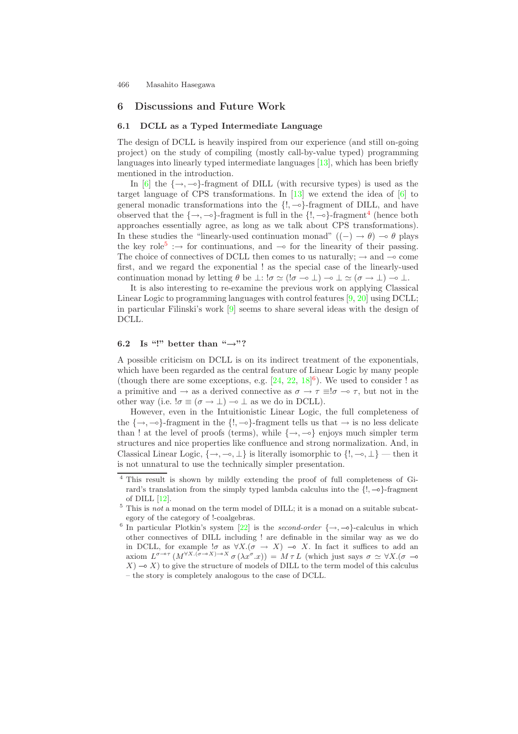## <span id="page-8-6"></span><span id="page-8-5"></span><span id="page-8-1"></span><span id="page-8-0"></span>**6 Discussions and Future Work**

#### **6.1 DCLL as a Typed Intermediate Language**

The design of DCLL is heavily inspired from our experience (and still on-going project) on the study of compiling (mostly call-by-value typed) programming languages into linearly typed intermediate languages [\[13\]](#page-10-5), which has been briefly mentioned in the introduction.

In [\[6\]](#page-10-4) the  $\{\rightarrow, -\circ\}$ -fragment of DILL (with recursive types) is used as the target language of CPS transformations. In  $[13]$  we extend the idea of  $[6]$  to general monadic transformations into the  $\{!,\neg \circ\}$ -fragment of DILL, and have observed that the  $\{\rightarrow, -\infty\}$ -fragment is full in the  $\{!, -\infty\}$ -fragment<sup>[4](#page-8-2)</sup> (hence both approaches essentially agree, as long as we talk about CPS transformations). In these studies the "linearly-used continuation monad"  $((-) \rightarrow \theta) \rightarrow \theta$  plays the key role<sup>[5](#page-8-3)</sup> : $\rightarrow$  for continuations, and  $\rightarrow$  for the linearity of their passing. The choice of connectives of DCLL then comes to us naturally;  $\rightarrow$  and  $\rightarrow$  come first, and we regard the exponential ! as the special case of the linearly-used continuation monad by letting  $\theta$  be  $\perp$ :  $\sigma \simeq ($ :  $\sigma \rightarrow \perp)$   $\rightarrow \perp \simeq (\sigma \rightarrow \perp)$   $\rightarrow \perp$ .

<span id="page-8-2"></span>It is also interesting to re-examine the previous work on applying Classical Linear Logic to programming languages with control features [\[9,](#page-10-12) [20\]](#page-11-8) using DCLL; in particular Filinski's work [\[9\]](#page-10-12) seems to share several ideas with the design of DCLL.

### <span id="page-8-3"></span>**6.2 Is "!" better than "***→***"?**

<span id="page-8-4"></span>A possible criticism on DCLL is on its indirect treatment of the exponentials, which have been regarded as the central feature of Linear Logic by many people (though there are some exceptions, e.g.  $[24, 22, 18]$  $[24, 22, 18]$  $[24, 22, 18]$  $[24, 22, 18]$  $[24, 22, 18]$ <sup>[6](#page-8-4)</sup>). We used to consider ! as a primitive and  $\rightarrow$  as a derived connective as  $\sigma \rightarrow \tau \equiv ! \sigma \rightarrow \tau$ , but not in the other way (i.e.  $!\sigma \equiv (\sigma \rightarrow \bot) \rightarrow \bot$  as we do in DCLL).

However, even in the Intuitionistic Linear Logic, the full completeness of the  $\{\rightarrow, \neg \}$ -fragment in the  $\{!, \neg \}$ -fragment tells us that  $\rightarrow$  is no less delicate than ! at the level of proofs (terms), while  $\{\rightarrow, -\infty\}$  enjoys much simpler term structures and nice properties like confluence and strong normalization. And, in Classical Linear Logic,  $\{\rightarrow, \neg o, \bot\}$  is literally isomorphic to  $\{!, \neg o, \bot\}$  — then it is not unnatural to use the technically simpler presentation.

<sup>4</sup> This result is shown by mildly extending the proof of full completeness of Girard's translation from the simply typed lambda calculus into the  $\{!, -\diamond\}$ -fragment of DILL [\[12\]](#page-10-13).

 $5$  This is *not* a monad on the term model of DILL; it is a monad on a suitable subcategory of the category of !-coalgebras.

<sup>&</sup>lt;sup>6</sup> In particular Plotkin's system [\[22\]](#page-11-10) is the *second-order*  $\{\rightarrow, \rightarrow\}$ -calculus in which other connectives of DILL including ! are definable in the similar way as we do in DCLL, for example  $\sigma$  as  $\forall X.(\sigma \rightarrow X) \rightarrow X$ . In fact it suffices to add an axiom  $L^{\sigma-\sigma\tau}$   $(M^{\forall X.(\sigma-\sigma X)-\sigma X}\sigma(\lambda x^{\sigma}.x)) = M \tau L$  (which just says  $\sigma \simeq \forall X.(\sigma -\sigma X)$  $X$ )  $\rightarrow$  X) to give the structure of models of DILL to the term model of this calculus – the story is completely analogous to the case of DCLL.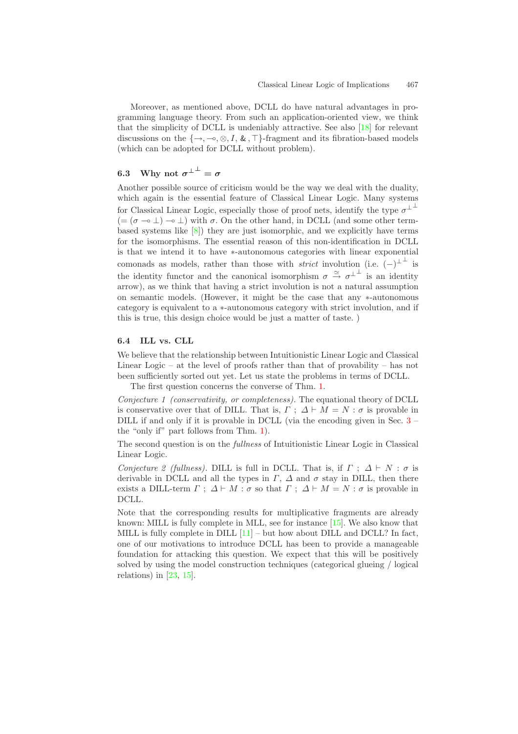<span id="page-9-1"></span><span id="page-9-0"></span>Moreover, as mentioned above, DCLL do have natural advantages in programming language theory. From such an application-oriented view, we think that the simplicity of DCLL is undeniably attractive. See also [\[18\]](#page-11-12) for relevant discussions on the  $\{\rightarrow, \neg \circ, \otimes, I, \&, \top\}$ -fragment and its fibration-based models (which can be adopted for DCLL without problem).

# **6.3** Why not  $\sigma^{\perp^{\perp}} = \sigma$

Another possible source of criticism would be the way we deal with the duality, which again is the essential feature of Classical Linear Logic. Many systems for Classical Linear Logic, especially those of proof nets, identify the type  $\sigma^{\perp}$  $(=(\sigma \rightarrow \bot) \rightarrow \bot)$  with  $\sigma$ . On the other hand, in DCLL (and some other termbased systems like [\[8\]](#page-10-7)) they are just isomorphic, and we explicitly have terms for the isomorphisms. The essential reason of this non-identification in DCLL is that we intend it to have ∗-autonomous categories with linear exponential comonads as models, rather than those with *strict* involution (i.e.  $(-)^{\perp}$  is the identity functor and the canonical isomorphism  $\sigma \stackrel{\simeq}{\rightarrow} \sigma^{\perp}$  is an identity arrow), as we think that having a strict involution is not a natural assumption on semantic models. (However, it might be the case that any ∗-autonomous category is equivalent to a ∗-autonomous category with strict involution, and if this is true, this design choice would be just a matter of taste. )

## **6.4 ILL vs. CLL**

We believe that the relationship between Intuitionistic Linear Logic and Classical Linear Logic – at the level of proofs rather than that of provability – has not been sufficiently sorted out yet. Let us state the problems in terms of DCLL.

The first question concerns the converse of Thm. [1.](#page-4-2)

*Conjecture 1 (conservativity, or completeness).* The equational theory of DCLL is conservative over that of DILL. That is,  $\Gamma$ ;  $\Delta \vdash M = N : \sigma$  is provable in DILL if and only if it is provable in DCLL (via the encoding given in Sec. [3](#page-4-0) – the "only if" part follows from Thm. [1\)](#page-4-2).

The second question is on the *fullness* of Intuitionistic Linear Logic in Classical Linear Logic.

*Conjecture 2 (fullness).* DILL is full in DCLL. That is, if  $\Gamma$ ;  $\Delta \vdash N : \sigma$  is derivable in DCLL and all the types in  $\Gamma$ ,  $\Delta$  and  $\sigma$  stay in DILL, then there exists a DILL-term  $\Gamma$ ;  $\Delta \vdash M : \sigma$  so that  $\Gamma$ ;  $\Delta \vdash M = N : \sigma$  is provable in DCLL.

Note that the corresponding results for multiplicative fragments are already known: MILL is fully complete in MLL, see for instance [\[15\]](#page-11-13). We also know that MILL is fully complete in DILL  $[11]$  – but how about DILL and DCLL? In fact, one of our motivations to introduce DCLL has been to provide a manageable foundation for attacking this question. We expect that this will be positively solved by using the model construction techniques (categorical glueing / logical relations) in  $[23, 15]$  $[23, 15]$  $[23, 15]$ .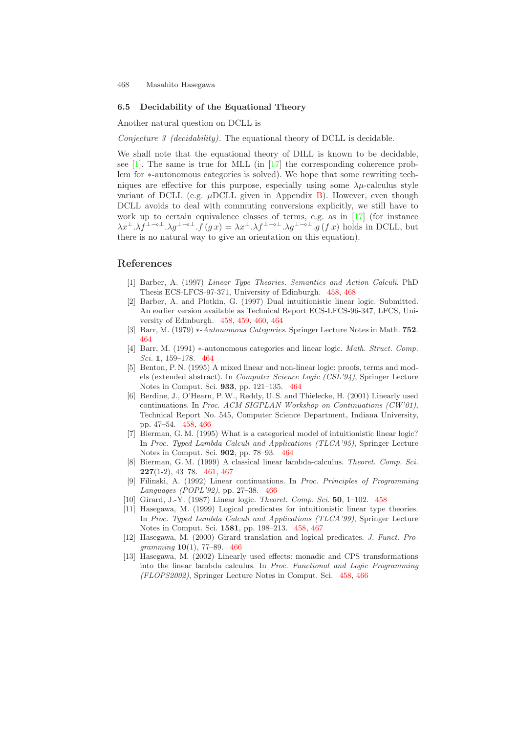#### <span id="page-10-16"></span><span id="page-10-15"></span>**6.5 Decidability of the Equational Theory**

Another natural question on DCLL is

*Conjecture 3 (decidability).* The equational theory of DCLL is decidable.

We shall note that the equational theory of DILL is known to be decidable, see [\[1\]](#page-10-1). The same is true for MLL (in [\[17\]](#page-11-3) the corresponding coherence problem for ∗-autonomous categories is solved). We hope that some rewriting techniques are effective for this purpose, especially using some  $\lambda \mu$ -calculus style variant of DCLL (e.g.  $\mu$ DCLL given in Appendix [B\)](#page-12-1). However, even though DCLL avoids to deal with commuting conversions explicitly, we still have to work up to certain equivalence classes of terms, e.g. as in [\[17\]](#page-11-3) (for instance  $\lambda x^{\perp}.\lambda f^{\perp-\circ\perp}.\lambda g^{\perp-\circ\perp}.f(gx)=\lambda x^{\perp}.\lambda f^{\perp-\circ\perp}.\lambda g^{\perp-\circ\perp}.g(fx)$  holds in DCLL, but there is no natural way to give an orientation on this equation).

## <span id="page-10-6"></span><span id="page-10-2"></span><span id="page-10-1"></span>**References**

- [1] Barber, A. (1997) *Linear Type Theories, Semantics and Action Calculi*. PhD Thesis ECS-LFCS-97-371, University of Edinburgh. [458,](#page-0-0) [468](#page-10-15)
- <span id="page-10-9"></span>[2] Barber, A. and Plotkin, G. (1997) Dual intuitionistic linear logic. Submitted. An earlier version available as Technical Report ECS-LFCS-96-347, LFCS, University of Edinburgh. [458,](#page-0-0) [459,](#page-1-2) [460,](#page-2-1) [464](#page-6-2)
- <span id="page-10-10"></span>[3] Barr, M. (1979) ∗*-Autonomous Categories*. Springer Lecture Notes in Math. **752**. [464](#page-6-2)
- <span id="page-10-11"></span>[4] Barr, M. (1991) ∗-autonomous categories andlinear logic. *Math. Struct. Comp. Sci.* **1**, 159–178. [464](#page-6-2)
- <span id="page-10-4"></span>[5] Benton, P. N. (1995) A mixed linear and non-linear logic: proofs, terms and models (extended abstract). In *Computer Science Logic (CSL'94)*, Springer Lecture Notes in Comput. Sci. **933**, pp. 121–135. [464](#page-6-2)
- <span id="page-10-8"></span>[6] Berdine, J., O'Hearn, P.W., Reddy, U. S. and Thielecke, H. (2001) Linearly used continuations. In *Proc. ACM SIGPLAN Workshop on Continuations (CW'01)*, Technical Report No. 545, Computer Science Department, Indiana University, pp. 47–54. [458,](#page-0-0) [466](#page-8-5)
- <span id="page-10-7"></span>[7] Bierman, G. M. (1995) What is a categorical model of intuitionistic linear logic? In *Proc. Typed Lambda Calculi and Applications (TLCA'95)*, Springer Lecture Notes in Comput. Sci. **902**, pp. 78–93. [464](#page-6-2)
- <span id="page-10-12"></span>[8] Bierman, G. M. (1999) A classical linear lambda-calculus. *Theoret. Comp. Sci.* **227**(1-2), 43–78. [461,](#page-3-3) [467](#page-9-0)
- <span id="page-10-14"></span><span id="page-10-0"></span>[9] Filinski, A. (1992) Linear continuations. In *Proc. Principles of Programming Languages (POPL'92)*, pp. 27–38. [466](#page-8-5)
- <span id="page-10-3"></span>[10] Girard, J.-Y. (1987) Linear logic. *Theoret. Comp. Sci.* **50**, 1–102. [458](#page-0-0)
- <span id="page-10-13"></span>[11] Hasegawa, M. (1999) Logical predicates for intuitionistic linear type theories. In *Proc. Typed Lambda Calculi and Applications (TLCA'99)*, Springer Lecture Notes in Comput. Sci. **1581**, pp. 198–213. [458,](#page-0-0) [467](#page-9-0)
- <span id="page-10-5"></span>[12] Hasegawa, M. (2000) Girard translation and logical predicates. *J. Funct. Programming* **10**(1), 77–89. [466](#page-8-5)
- [13] Hasegawa, M. (2002) Linearly usedeffects: monadic andCPS transformations into the linear lambda calculus. In *Proc. Functional and Logic Programming (FLOPS2002)*, Springer Lecture Notes in Comput. Sci. [458,](#page-0-0) [466](#page-8-5)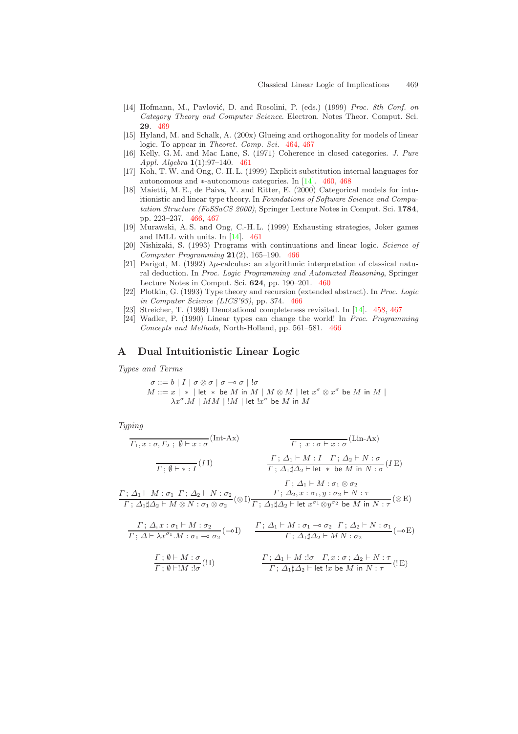- <span id="page-11-16"></span><span id="page-11-15"></span><span id="page-11-13"></span><span id="page-11-7"></span>[14] Hofmann, M., Pavlović, D. and Rosolini, P. (eds.) (1999) *Proc. 8th Conf. on Category Theory and Computer Science*. Electron. Notes Theor. Comput. Sci. **29**. [469](#page-11-15)
- <span id="page-11-5"></span>[15] Hyland, M. and Schalk, A. (200x) Glueing and orthogonality for models of linear logic. To appear in *Theoret. Comp. Sci.* [464,](#page-6-3) [467](#page-9-1)
- <span id="page-11-3"></span>[16] Kelly, G. M. andMac Lane, S. (1971) Coherence in closedcategories. *J. Pure Appl. Algebra* **1**(1):97–140. [461](#page-3-4)
- <span id="page-11-12"></span><span id="page-11-11"></span>[17] Koh, T. W. and Ong, C.-H. L. (1999) Explicit substitution internal languages for autonomous and ∗-autonomous categories. In [\[14\]](#page-11-16). [460,](#page-2-2) [468](#page-10-16)
- <span id="page-11-4"></span>[18] Maietti, M. E., de Paiva, V. and Ritter, E. (2000) Categorical models for intuitionistic and linear type theory. In *Foundations of Software Science and Computation Structure (FoSSaCS 2000)*, Springer Lecture Notes in Comput. Sci. **1784**, pp. 223–237. [466,](#page-8-6) [467](#page-9-1)
- <span id="page-11-8"></span>[19] Murawski, A. S. andOng, C.-H. L. (1999) Exhausting strategies, Joker games and IMLL with units. In  $[14]$ . [461](#page-3-4)
- <span id="page-11-2"></span>[20] Nishizaki, S. (1993) Programs with continuations andlinear logic. *Science of Computer Programming* **21**(2), 165–190. [466](#page-8-6)
- <span id="page-11-10"></span>[21] Parigot, M. (1992)  $\lambda \mu$ -calculus: an algorithmic interpretation of classical natural deduction. In *Proc. Logic Programming and Automated Reasoning*, Springer Lecture Notes in Comput. Sci. **624**, pp. 190–201. [460](#page-2-2)
- <span id="page-11-14"></span><span id="page-11-9"></span><span id="page-11-0"></span>[22] Plotkin, G. (1993) Type theory andrecursion (extendedabstract). In *Proc. Logic in Computer Science (LICS'93)*, pp. 374. [466](#page-8-6)
- [23] Streicher, T. (1999) Denotational completeness revisited. In [\[14\]](#page-11-16). [458,](#page-0-1) [467](#page-9-1)
- [24] Wadler, P. (1990) Linear types can change the world! In *Proc. Programming Concepts and Methods*, North-Holland, pp. 561–581. [466](#page-8-6)

## <span id="page-11-6"></span><span id="page-11-1"></span>**A Dual Intuitionistic Linear Logic**

*Types and Terms*

$$
\begin{array}{l} \sigma ::= b \mid I \mid \sigma \otimes \sigma \mid \sigma \multimap \sigma \mid !\sigma \\ M ::= x \mid * \mid \textsf{let} \; * \; \textsf{be} \; M \; \textsf{in} \; M \mid M \otimes M \mid \textsf{let} \; x^{\sigma} \otimes x^{\sigma} \; \textsf{be} \; M \; \textsf{in} \; M \mid \\ \lambda x^{\sigma}.M \mid MM \mid !M \mid \textsf{let} \; !x^{\sigma} \; \textsf{be} \; M \; \textsf{in} \; M \end{array}
$$

*Typing*

$$
\begin{array}{ccc}\n\overline{F_1, x : \sigma, F_2 \; ; \; \emptyset \vdash x : \sigma} \text{ (Int-Ax)} & \overline{F_1, x : \sigma \vdash x : \sigma} \text{ (Lin-Ax)} \\
\overline{F_1, \emptyset \vdash * : I} \text{ (I1)} & \overline{F_1, \Delta_1 \vdash M : I \quad F_1 \; \Delta_2 \vdash N : \sigma} \text{ (IE)} \\
\overline{F_1, \Delta_1 \sharp \Delta_2 \vdash \text{let * be } M \text{ in } N : \sigma} \text{ (I E)} \\
\overline{F_1, \Delta_1 \vdash M : \sigma_1 \otimes \sigma_2} & \overline{F_1, \Delta_1 \sharp \Delta_2 \vdash \text{let * be } M \text{ in } N : \sigma} \text{ (E)} \\
\overline{F_1, \Delta_1 \sharp \Delta_2 \vdash M \otimes N : \sigma_1 \otimes \sigma_2} \text{ (} \otimes I) & \overline{F_1, \Delta_1 \sharp \Delta_2 \vdash \text{let } x^{\sigma_1} \otimes y^{\sigma_2} \text{ be } M \text{ in } N : \tau} \text{ (} \otimes E) \\
\overline{F_1, \Delta_1 \vdash \lambda x : \sigma_1 \vdash M : \sigma_2} & \overline{F_1, \Delta_1 \vdash M : \sigma_1 \neg \sigma_2 \quad F_1 \; \Delta_2 \vdash N : \sigma_1} \text{ (} \neg E) \\
\overline{F_1, \Delta_1 \vdash \lambda x^{\sigma_1} \cdot M : \sigma_1 \neg \sigma_2} \text{ (} \neg I) & \overline{F_1, \Delta_1 \vdash M : \sigma_1 \neg \sigma_2 \quad F_1 \; \Delta_2 \vdash N : \sigma_2} \text{ (} \neg E) \\
\overline{F_1, \emptyset \vdash M : \sigma} & \overline{F_1, \Delta_1 \sharp \Delta_2 \vdash \text{let } \text{!x be } M \text{ in } N : \tau} \text{ (} \text{! E)} \\
\end{array}
$$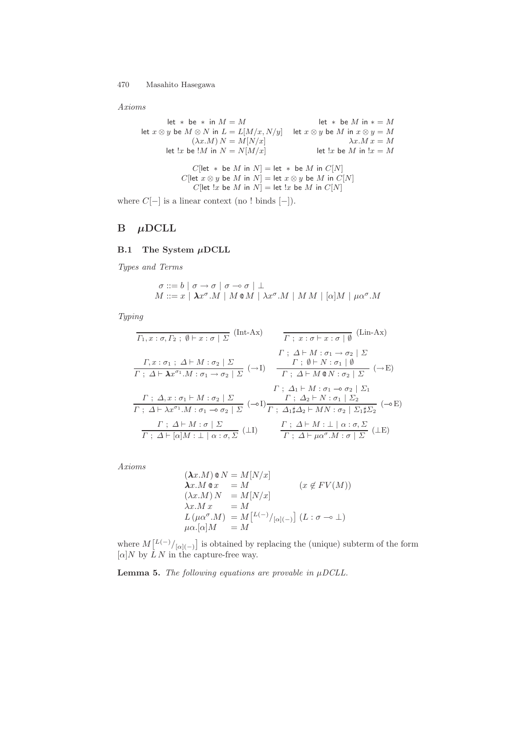*Axioms*

let \* be \* in  $M = M$  let \* be M in \* = M let  $x \otimes y$  be  $M \otimes N$  in  $L = L[M/x, N/y]$  let  $x \otimes y$  be  $M$  in  $x \otimes y = M$  $(\lambda x.M) N = M[N/x]$   $\lambda x.M x = M$ let  $!x$  be  $!M$  in  $N = N[M/x]$  let  $!x$  be M in  $!x = M$  $C[\text{let } * \text{ be } M \text{ in } N] = \text{let } * \text{ be } M \text{ in } C[N]$ C[let  $x \otimes y$  be M in N] = let  $x \otimes y$  be M in C[N]  $C[\text{let } !x \text{ be } M \text{ in } N] = \text{let } !x \text{ be } M \text{ in } C[N]$ 

<span id="page-12-1"></span><span id="page-12-0"></span>where  $C[-]$  is a linear context (no ! binds  $[-]$ ).

## $B$   $\mu$ DCLL

#### **B.1 The System** *µ***DCLL**

*Types and Terms*

$$
\sigma ::= b | \sigma \rightarrow \sigma | \sigma \rightarrow \sigma | \perp
$$
  

$$
M ::= x | \lambda x^{\sigma}.M | M \circ M | \lambda x^{\sigma}.M | M M | [\alpha]M | \mu \alpha^{\sigma}.M
$$

*Typing*

$$
\begin{array}{ll}\n\overline{I_1, x : \sigma, I_2 \; ; \; \emptyset \vdash x : \sigma \mid \Sigma} & \text{(Int-Ax)} & \overline{I_1, x : \sigma \vdash x : \sigma \mid \emptyset} & \text{(Lin-Ax)} \\
& \overline{I_1, x : \sigma_1 \; ; \; \Delta \vdash M : \sigma_2 \mid \Sigma} & & \overline{I_1, x : \sigma \vdash x : \sigma \mid \emptyset} & \Sigma \\
\hline\n\overline{I_1, \Delta \vdash \lambda x^{\sigma_1}.M : \sigma_1 \rightarrow \sigma_2 \mid \Sigma} & & \text{---} & \overline{I_1, \Delta \vdash M \otimes N : \sigma_2 \mid \Sigma} & & \text{---} \\
& & \overline{I_1, \Delta \vdash M \circ \sigma_1 \rightarrow \sigma_2 \mid \Sigma} & & \overline{I_1, \Delta \vdash M \circ \sigma_1 \rightarrow \sigma_2 \mid \Sigma_1} \\
& & \overline{I_1, \Delta \vdash \lambda x^{\sigma_1}.M : \sigma_1 \rightarrow \sigma_2 \mid \Sigma} & & \text{---} & \overline{I_1, \Delta_2 \vdash N : \sigma_1 \mid \Sigma_2} \\
& & \overline{I_1, \Delta \vdash M \circ \sigma_1 \mid \Sigma} & & \text{---} & \overline{I_1, \Delta \vdash M \circ \sigma_2 \mid \Sigma_1 \sharp \Sigma_2} & & \text{---} \\
& & \overline{I_1, \Delta \vdash M : \Box \mid \alpha : \sigma, \Sigma} & & \text{---} & & \overline{I_1, \Delta \vdash M : \Box \mid \alpha : \sigma, \Sigma} & & \text{---} \\
& & \overline{I_1, \Delta \vdash \mu \alpha^{\sigma}.M : \sigma \mid \Sigma} & & \text{---} & & \text{---} & & \overline{I_1, \Delta \vdash M \circ \Box \cup \Box} & & \text{---} \\
& & \overline{I_1, \Delta \vdash M \circ \Box \cup \Box} & & \overline{I_1, \Delta \vdash M \circ \Box \cup \Box} & & \text{---} & & \text{---} \\
& & \overline{I_1, \Delta \vdash M \circ \Box \cup \Box} & & \text{---} & & \text{---} & & \text{---} \\
& & \overline{I_1, \Delta \vdash M \circ \Box \cup \Box} & & \overline
$$

*Axioms*

$$
(\lambda x.M) \circ N = M[N/x]
$$
  
\n
$$
\lambda x.M \circ x = M
$$
  
\n
$$
(\lambda x.M) N = M[N/x]
$$
  
\n
$$
\lambda x.M x = M
$$
  
\n
$$
L(\mu \alpha^{\sigma}.M) = M[{}^{L(-)}/{}_{[\alpha](-)}] (L : \sigma \to \bot)
$$
  
\n
$$
\mu \alpha.[\alpha]M = M
$$

where  $M\left[\frac{L(-)}{|\alpha|(-)}\right]$  is obtained by replacing the (unique) subterm of the form  $\lbrack \alpha \rbrack N$  by  $\dot{L} N$  in the capture-free way.

**Lemma 5.** *The following equations are provable in*  $\mu DCLL$ *.*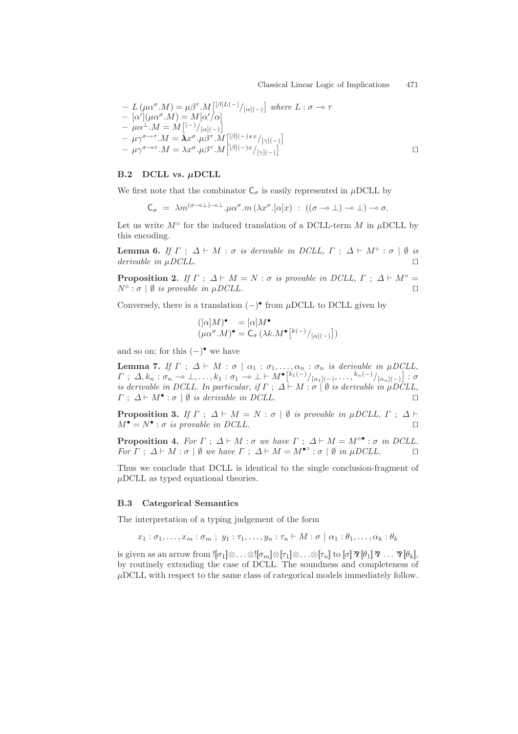$\Box$ 

$$
- L(\mu \alpha^{\sigma}. M) = \mu \beta^{\tau}. M \left[ {}^{\beta}L(-) / {}_{\{\alpha\}(-)} \right] \text{ where } L : \sigma \to \tau
$$
  
\n
$$
- [\alpha'](\mu \alpha^{\sigma}. M) = M [\alpha'/\alpha]
$$
  
\n
$$
- \mu \alpha^{\perp}. M = M \left[ {}^{(-)} / {}_{\{\alpha\}(-)} \right]
$$
  
\n
$$
- \mu \gamma^{\sigma \to \tau}. M = \lambda x^{\sigma}. \mu \beta^{\tau}. M \left[ {}^{\{\beta\}(-) \circ x} / {}_{\{\gamma\}(-)} \right]
$$
  
\n
$$
- \mu \gamma^{\sigma \to \tau}. M = \lambda x^{\sigma}. \mu \beta^{\tau}. M \left[ {}^{\{\beta\}(-)x} / {}_{\{\gamma\}(-)} \right]
$$

#### **B.2 DCLL vs.** *µ***DCLL**

We first note that the combinator  $C_{\sigma}$  is easily represented in  $\mu$ DCLL by

$$
\mathsf{C}_{\sigma} \; = \; \lambda m^{(\sigma \to \perp) - \circ \perp} \cdot \mu \alpha^{\sigma} \cdot m \left( \lambda x^{\sigma} \cdot [\alpha] x \right) \; : \; ((\sigma \to \perp) \to \perp) \to \sigma.
$$

Let us write  $M^{\circ}$  for the induced translation of a DCLL-term M in  $\mu$ DCLL by this encoding.

**Lemma 6.** *If*  $\Gamma$ ;  $\Delta \vdash M : \sigma$  *is derivable in DCLL,*  $\Gamma$ ;  $\Delta \vdash M^\circ : \sigma \mid \emptyset$  *is derivable in* µ*DCLL.*

**Proposition 2.** *If*  $\Gamma : \Delta \vdash M = N : \sigma$  *is provable in DCLL,*  $\Gamma : \Delta \vdash M \circ \equiv$  $N^{\circ}$ :  $\sigma$  |  $\emptyset$  *is provable in µDCLL.* 

Conversely, there is a translation  $(-)$ • from  $\mu$ DCLL to DCLL given by

$$
\begin{array}{ll} ([\alpha]M)^{\bullet} & = [\alpha]M^{\bullet} \\ (\mu \alpha^{\sigma}.M)^{\bullet} & = \mathsf{C}_{\sigma} \left(\lambda k.M^{\bullet} \left[ {k}(-)/_{[\alpha](-)} \right] \right) \end{array}
$$

and so on; for this  $(-)$ • we have

**Lemma 7.** *If*  $\Gamma$ ;  $\Delta \vdash M : \sigma \mid \alpha_1 : \sigma_1, \ldots, \alpha_n : \sigma_n$  *is derivable in*  $\mu DCLL$ *,*  $\varGamma\,:\,\varDelta,k_n:\sigma_n\rightharpoonup\bot,\ldots,k_1:\sigma_1\rightharpoonup\bot\vdash M^\bullet\bigl[{}^{k_1(-)}/\!\vert_{\alpha_1\mid(-)},\ldots,{}^{k_n(-)}/\!\vert_{\alpha_n\mid(-)}\bigr]:\sigma$ *is derivable in DCLL. In particular, if*  $\Gamma$ ;  $\Delta \vdash M : \sigma \mid \emptyset$  *is derivable in*  $\mu$ *DCLL,*  $\Gamma$ ;  $\Delta \vdash M^{\bullet}$ :  $\sigma \mid \emptyset$  *is derivable in DCLL.* 

**Proposition 3.** *If*  $\Gamma$ ;  $\Delta \vdash M = N : \sigma \mid \emptyset$  *is provable in µDCLL,*  $\Gamma : \Delta \vdash$  $M^{\bullet} = N^{\bullet}$ : *σ is provable in DCLL*.

**Proposition 4.** *For*  $\Gamma$ ;  $\Delta \vdash M : \sigma$  *we have*  $\Gamma$ ;  $\Delta \vdash M = M^{\circ \bullet} : \sigma$  *in DCLL. For*  $\Gamma$ ;  $\Delta \vdash M : \sigma \mid \emptyset$  *we have*  $\Gamma$ ;  $\Delta \vdash M = M^{\bullet \circ} : \sigma \mid \emptyset$  *in*  $\mu DCLL$ *.* 

Thus we conclude that DCLL is identical to the single conclusion-fragment of  $\mu$ DCLL as typed equational theories.

#### **B.3 Categorical Semantics**

The interpretation of a typing judgement of the form

$$
x_1 : \sigma_1, \ldots, x_m : \sigma_m ; y_1 : \tau_1, \ldots, y_n : \tau_n \vdash M : \sigma \mid \alpha_1 : \theta_1, \ldots, \alpha_k : \theta_k
$$

is given as an arrow from  $![\sigma_1]\otimes\ldots\otimes![\sigma_m]\otimes [\tau_1]\otimes\ldots\otimes [\tau_n]$  to  $[\sigma]\mathbin{\vartheta}[\theta_1]\mathbin{\vartheta}\ldots\mathbin{\vartheta}[\theta_k],$ by routinely extending the case of DCLL. The soundness and completeness of  $\mu$ DCLL with respect to the same class of categorical models immediately follow.